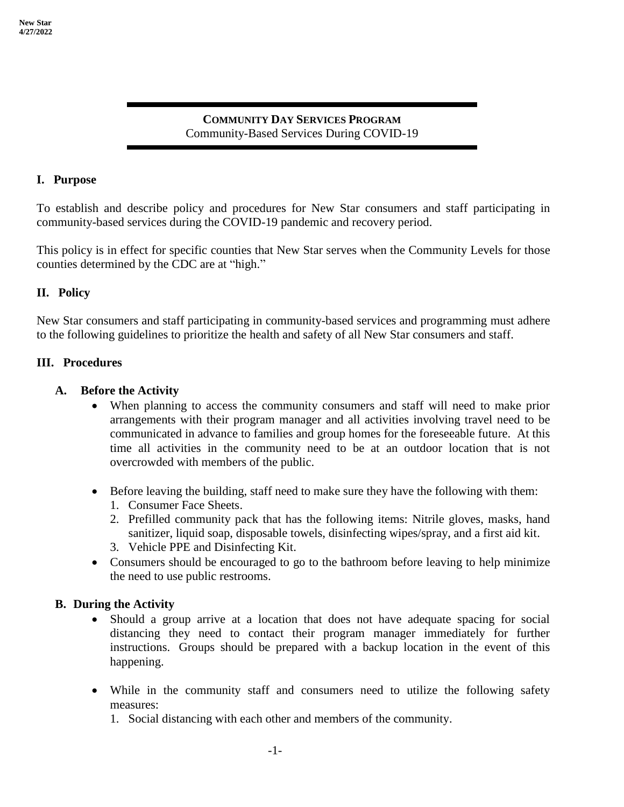# **COMMUNITY DAY SERVICES PROGRAM** Community-Based Services During COVID-19

### **I. Purpose**

To establish and describe policy and procedures for New Star consumers and staff participating in community-based services during the COVID-19 pandemic and recovery period.

This policy is in effect for specific counties that New Star serves when the Community Levels for those counties determined by the CDC are at "high."

## **II. Policy**

New Star consumers and staff participating in community-based services and programming must adhere to the following guidelines to prioritize the health and safety of all New Star consumers and staff.

### **III. Procedures**

## **A. Before the Activity**

- When planning to access the community consumers and staff will need to make prior arrangements with their program manager and all activities involving travel need to be communicated in advance to families and group homes for the foreseeable future. At this time all activities in the community need to be at an outdoor location that is not overcrowded with members of the public.
- Before leaving the building, staff need to make sure they have the following with them:
	- 1. Consumer Face Sheets.
	- 2. Prefilled community pack that has the following items: Nitrile gloves, masks, hand sanitizer, liquid soap, disposable towels, disinfecting wipes/spray, and a first aid kit.
	- 3. Vehicle PPE and Disinfecting Kit.
- Consumers should be encouraged to go to the bathroom before leaving to help minimize the need to use public restrooms.

### **B. During the Activity**

- Should a group arrive at a location that does not have adequate spacing for social distancing they need to contact their program manager immediately for further instructions. Groups should be prepared with a backup location in the event of this happening.
- While in the community staff and consumers need to utilize the following safety measures:
	- 1. Social distancing with each other and members of the community.